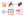